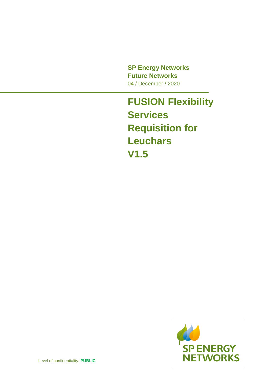**SP Energy Networks Future Networks** 04 / December / 2020

**FUSION Flexibility Services Requisition for Leuchars V1.5**

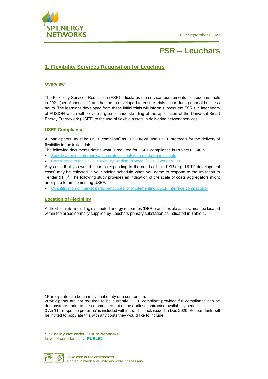



## **1. Flexibility Services Requisition for Leuchars**

#### **Overview**

The Flexibility Services Requisition (FSR) articulates the service requirements for Leuchars trials in 2021 (see Appendix 1) and has been developed to ensure trials occur during normal business hours. The learnings developed from these initial trials will inform subsequent FSR's in later years of FUSION which will provide a greater understanding of the application of the Universal Smart Energy Framework (USEF) to the use of flexible assets in delivering network services.

#### **USEF Compliance**

All participants<sup>1</sup> must be USEF compliant<sup>2</sup> as FUSION will use USEF protocols for the delivery of flexibility in the initial trials.

The following documents define what is required for USEF compliance in Project FUSION:

- [Specification of communication protocols between market participants](https://www.spenergynetworks.co.uk/userfiles/file/D4.2_specification_of_communication_protocols_between_market_participants.pdf)
- [Compliance to the USEF Flexibility Trading Protocol \(UFTP\) version 1.01](https://www.usef.energy/usef-flexibility-trading-protocol-specification/)

Any costs that you would incur in responding to the needs of this FSR (e.g. UFTP development costs) may be reflected in your pricing schedule when you come to respond to the Invitation to Tender (ITT)<sup>3</sup>. The following study provides an indication of the scale of costs aggregators might anticipate for implementing USEF.

• [Quantification of market participant costs for Implementing USEF Interface compatibility](https://www.spenergynetworks.co.uk/userfiles/file/D4.4_quantification_of_market_participant_costs_for_implementing_USEF.pdf)

#### **Location of Flexibility**

All flexible units, including distributed energy resources (DERs) and flexible assets, must be located within the areas normally supplied by Leuchars primary substation as indicated in [Table 1.](#page-2-0)

**SP Energy Networks, Future Networks** Level of confidentiality: **PUBLIC**



<u>.</u>

<sup>1</sup>Participants can be an individual entity or a consortium.

<sup>2</sup>Participants are not required to be currently USEF compliant provided full compliance can be demonstrated prior to the commencement of the earliest contracted availability period.

<sup>3</sup> An 'ITT response proforma' is included within the ITT pack issued in Dec 2020. Respondents will be invited to populate this with any costs they would like to include.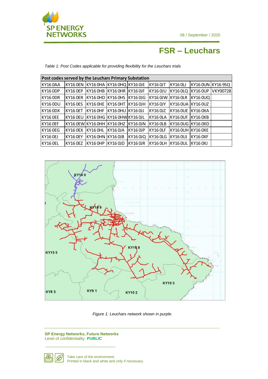

## **FSR – Leuchars**

<span id="page-2-0"></span>*Table 1: Post Codes applicable for providing flexibility for the Leuchars trials*

| Post codes served by the Leuchars Primary Substation |                                        |  |  |  |                                                                      |  |  |                                     |  |
|------------------------------------------------------|----------------------------------------|--|--|--|----------------------------------------------------------------------|--|--|-------------------------------------|--|
| KY16 0AA                                             | KY16 OEN KY16 OHA KY16 OHQ KY16 OJE    |  |  |  | KY16 OJT KY16 OLJ KY16 OUN KY16 9SQ                                  |  |  |                                     |  |
| KY16 ODP                                             | KY16 OEP KY16 OHB KY16 OHR KY16 OJF    |  |  |  |                                                                      |  |  | KY16 0JU KY16 0LQ KY16 0UP VKY00728 |  |
| KY16 ODR                                             |                                        |  |  |  | KY16 OER  KY16 OHD  KY16 OHS  KY16 OJG  KY16 OJW  KY16 OLR  KY16 OUQ |  |  |                                     |  |
| KY16 ODU                                             | KY16 OES  KY16 OHE  KY16 OHT  KY16 OJH |  |  |  | KY16 0JY KY16 0UA KY16 0UZ                                           |  |  |                                     |  |
| KY16 ODX                                             | KY16 OET  KY16 OHF  KY16 OHU  KY16 OJJ |  |  |  | KY16 OJZ KY16 OUE KY16 OXA                                           |  |  |                                     |  |
| KY16 OEE                                             | KY16 OEU  KY16 OHG  KY16 OHW KY16 OJL  |  |  |  | KY16 OLA KY16 OUF KY16 OXB                                           |  |  |                                     |  |
| KY16 OEF                                             | KY16 OEW KY16 OHH  KY16 OHZ  KY16 OJN  |  |  |  | KY16 OLB KY16 OUG KY16 OXD                                           |  |  |                                     |  |
| KY16 OEG                                             | KY16 OEX  KY16 OHL  KY16 OJA  KY16 OJP |  |  |  | KY16 OLF KY16 OUH KY16 OXE                                           |  |  |                                     |  |
| KY16 OEJ                                             |                                        |  |  |  | KY16 OEY  KY16 OHN  KY16 OJB  KY16 OJQ  KY16 OLG  KY16 OUJ  KY16 OXF |  |  |                                     |  |
| KY16 OEL                                             |                                        |  |  |  | KY16 OEZ  KY16 OHP  KY16 OJD  KY16 OJR  KY16 OLH  KY16 OUL  KY16 OXJ |  |  |                                     |  |



*Figure 1: Leuchars network shown in purple.*

**SP Energy Networks, Future Networks** Level of confidentiality: **PUBLIC**

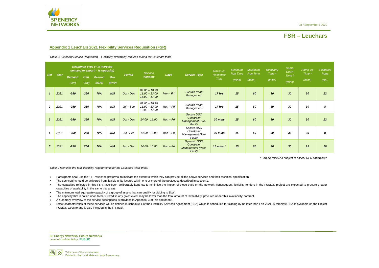08 / September / 2020

# **FSR – Leuchars**

**SP Energy Networks, Future Networks** Level of confidentiality: **PUBLIC**



Take care of the environment. Printed in black and white and only if necessary.



### **Appendix 1 Leuchars 2021 Flexibility Services Requisition (FSR)**

<span id="page-3-0"></span>*Table 2: Flexibility Service Requisition – Flexibility availability required during the Leuchars trials*

*\* Can be reviewed subject to asset / DER capabilities*

*[Table 2](#page-3-0) Identifies the total flexibility requirements for the Leuchars initial trials;*

- Participants shall use the 'ITT response proforma' to indicate the extent to which they can provide all the above services and their technical specification.
- The service(s) should be delivered from flexible units located within one or more of the postcodes described in section 1.
- The capacities reflected in this FSR have been deliberately kept low to minimise the impact of these trials on the network. (Subsequent flexibility tenders in the FUSION project are expected to procure greater capacities of availability in the same trial area).
- The minimum total aggregate capacity of a group of assets that can qualify for bidding is 1kW.
- The capacity that is called upon to be 'utilized' in any given event may be lower than the total amount of 'availability' procured under this 'availability' contract.
- A summary overview of the service descriptions is provided in Appendix 3 of this document.
- Exact characteristics of these services will be defined in schedule 1 of the Flexibility Services Agreement (FSA) which is scheduled for signing by no later than Feb 2021. A template FSA is available on the Project FUSION website and is also included in the ITT pack.

| <b>Ref</b>     |      | <b>Response Type (+ is increase</b><br>demand or export; - is opposite) |              |                         |                | <b>Service</b> |                                                       |             | <b>Maximum</b>                                                         | <b>Minimum</b>          | <b>Maximum</b><br>Run Time | Recovery | Ramp<br>Down     | Ramp Up<br>Time * | <b>Estimated</b><br><b>Runs</b> |       |
|----------------|------|-------------------------------------------------------------------------|--------------|-------------------------|----------------|----------------|-------------------------------------------------------|-------------|------------------------------------------------------------------------|-------------------------|----------------------------|----------|------------------|-------------------|---------------------------------|-------|
|                | Year | <b>Demand</b><br>(kW)                                                   | Gen.<br>(kW) | <b>Demand</b><br>(kVAr) | Gen.<br>(kVAr) | <b>Period</b>  | <b>Window</b>                                         | <b>Days</b> | <b>Service Type</b>                                                    | Response<br><b>Time</b> | Run Time<br>(mins)         | (mins)   | Time *<br>(mins) | Time *<br>(mins)  | (mins)                          | (No.) |
| $\mathbf{1}$   | 2021 | $-250$                                                                  | 250          | N/A                     | N/A            | Oct - Dec      | $09:00 - 10:30$<br>$11:00 - 13:00$<br>$15:00 - 17:00$ | Mon - Fri   | <b>Sustain Peak</b><br>Management                                      | 17 hrs                  | 15                         | 60       | 30               | 30                | 30                              | 12    |
| $\overline{2}$ | 2021 | $-250$                                                                  | 250          | N/A                     | N/A            | Jul – Sep      | $09:00 - 10:30$<br>$11:00 - 13:00$<br>$15:00 - 17:00$ | Mon - Fri   | Sustain Peak<br>Management                                             | 17 hrs                  | 15                         | 60       | 30               | 30                | 30                              | 8     |
| $\overline{3}$ | 2021 | $-250$                                                                  | 250          | N/A                     | N/A            | Oct - Dec      | 14:00 - 16:00                                         | $Mon-Fri$   | Secure DSO<br>Constraint<br>Management (Pre-<br>Fault)                 | 30 mins                 | 15                         | 60       | 30               | 30                | 30                              | 12    |
| $\overline{4}$ | 2021 | $-250$                                                                  | 250          | N/A                     | N/A            | Jul - Sep      | 14:00 - 16:00                                         | Mon-Fri     | Secure DSO<br>Constraint<br>Management (Pre-<br>Fault)                 | 30 mins                 | 15                         | 60       | 30               | 30                | 30                              | 8     |
| 5 <sup>5</sup> | 2021 | $-250$                                                                  | 250          | N/A                     | N/A            | Jun - Dec      | 14:00 - 16:00                                         | $Mon-Fri$   | <b>Dynamic DSO</b><br>Constraint<br><b>Management (Post-</b><br>Fault) | 15 mins $*$             | 15                         | 60       | 30               | 30                | 15                              | 20    |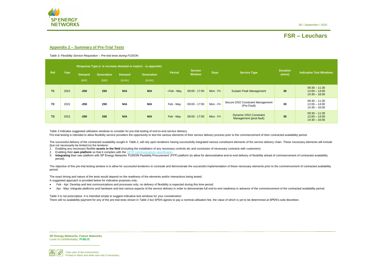08 / September / 2020



# **FSR – Leuchars**

**SP Energy Networks, Future Networks** Level of confidentiality: **PUBLIC**



#### **Appendix 2 – Summary of Pre-Trial Tests**

<span id="page-4-0"></span>*Table 3: Flexibility Service Requisition – Pre-trial tests during FUSION*

*[Table 3](#page-4-0)* indicates suggested utilisation windows to consider for pre-trial testing of end-to-end service delivery.

Pre-trial testing is intended to allow flexibility service providers the opportunity to test the various elements of their service delivery process prior to the commencement of their contracted availability period.

The successful delivery of the contracted availability sought in [Table 2](#page-3-0), will rely upon tenderers having successfully integrated various constituent elements of the service delivery chain. These necessary elements will in (but not necessarily be limited to) the tenderer:

The objective of this pre-trial testing window is to allow for successful tenderers to conclude and demonstrate the successful implementation of these necessary elements prior to the commencement of contracted availability period.

Table 3 is not prescriptive. It is intended simply to suggest indicative test windows for your consideration. There will no availability payment for any of the pre-trial tests shown in *[Table 3](#page-4-0)* but SPEN agrees to pay a nominal utilisation fee, the value of which is yet to be determined at SPEN's sole discretion.

- 1. Enabling any necessary flexible **assets in the field** (including the installation of any necessary controls etc and conclusion of necessary contracts with customers)
- 2. Enabling their **own platform** so that it complies with the UFTP
- 3. Integrating their own platform with SP Energy Networks 'FUSION Flexibility Procurement' (FFP) platform (to allow for demonstrative end-to-end delivery of flexibility ahead of commencement of contracted availability period).

The exact timing and nature of the tests would depend on the readiness of the elements and/or interactions being tested. A suggested approach is provided below for indicative purposes only;

- Feb Apr: Develop and test communications and processes only; no delivery of flexibility is expected during this time period;
- Apr May: Integrate platforms and hardware and test various aspects of the service delivery in order to demonstrate full end-to-end readiness in advance of the commencement of the contracted availability period.

|                |      |                       |                           | Response Type (+ is increase demand or export; - is opposite) |                             |               |                                 |             |                                                          |                    |                                                       |  |
|----------------|------|-----------------------|---------------------------|---------------------------------------------------------------|-----------------------------|---------------|---------------------------------|-------------|----------------------------------------------------------|--------------------|-------------------------------------------------------|--|
| Ref            | Year | <b>Demand</b><br>(KW) | <b>Generation</b><br>(kW) | <b>Demand</b><br>(kVAr)                                       | <b>Generation</b><br>(kVAr) | <b>Period</b> | <b>Service</b><br><b>Window</b> | <b>Days</b> | <b>Service Type</b>                                      | Duration<br>(mins) | <b>Indicative Test Windows</b>                        |  |
| T1             | 2021 | $-250$                | 250                       | N/A                                                           | N/A                         | $-Feb - May$  | $09:00 - 17:00$                 | Mon - Fri   | <b>Sustain Peak Management</b>                           | 30                 | $09:30 - 11:30$<br>$12:00 - 14:00$<br>$14:30 - 16:00$ |  |
| T <sub>2</sub> | 2021 | $-250$                | 250                       | N/A                                                           | N/A                         | Feb - May     | $09:00 - 17:00$                 | Mon - Fri   | Secure DSO Constraint Management<br>(Pre-Fault)          | 30                 | $09:30 - 11:30$<br>$12:00 - 14:00$<br>$14:30 - 16:00$ |  |
| T3             | 2021 | $-250$                | 250                       | N/A                                                           | N/A                         | Feb - May     | $09:00 - 17:00$                 | Mon - Fri   | <b>Dynamic DSO Constraint</b><br>Management (post-fault) | 30                 | $09:30 - 11:30$<br>$12:00 - 14:00$<br>$14:30 - 16:00$ |  |